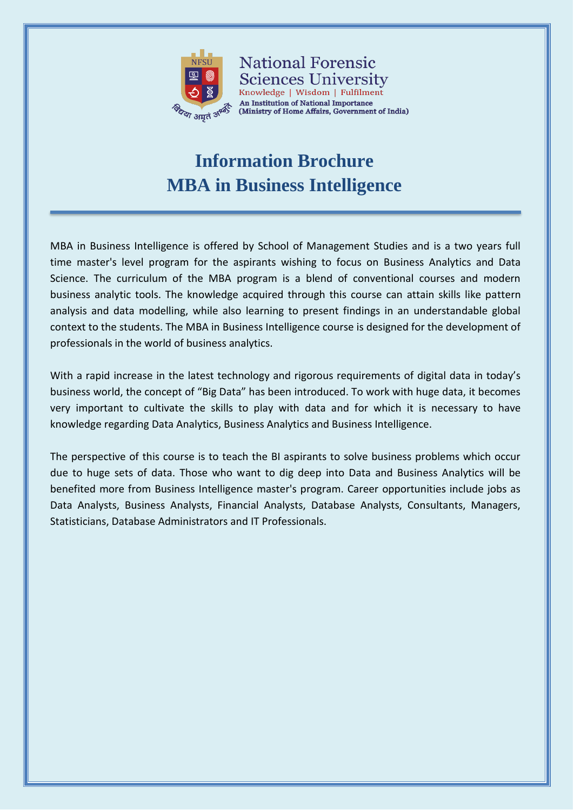

**National Forensic** Sciences University Knowledge | Wisdom | Fulfilment An Institution of National Importance (Ministry of Home Affairs, Government of India)

# **Information Brochure MBA in Business Intelligence**

MBA in Business Intelligence is offered by School of Management Studies and is a two years full time master's level program for the aspirants wishing to focus on Business Analytics and Data Science. The curriculum of the MBA program is a blend of conventional courses and modern business analytic tools. The knowledge acquired through this course can attain skills like pattern analysis and data modelling, while also learning to present findings in an understandable global context to the students. The MBA in Business Intelligence course is designed for the development of professionals in the world of business analytics.

With a rapid increase in the latest technology and rigorous requirements of digital data in today's business world, the concept of "Big Data" has been introduced. To work with huge data, it becomes very important to cultivate the skills to play with data and for which it is necessary to have knowledge regarding Data Analytics, Business Analytics and Business Intelligence.

The perspective of this course is to teach the BI aspirants to solve business problems which occur due to huge sets of data. Those who want to dig deep into Data and Business Analytics will be benefited more from Business Intelligence master's program. Career opportunities include jobs as Data Analysts, Business Analysts, Financial Analysts, Database Analysts, Consultants, Managers, Statisticians, Database Administrators and IT Professionals.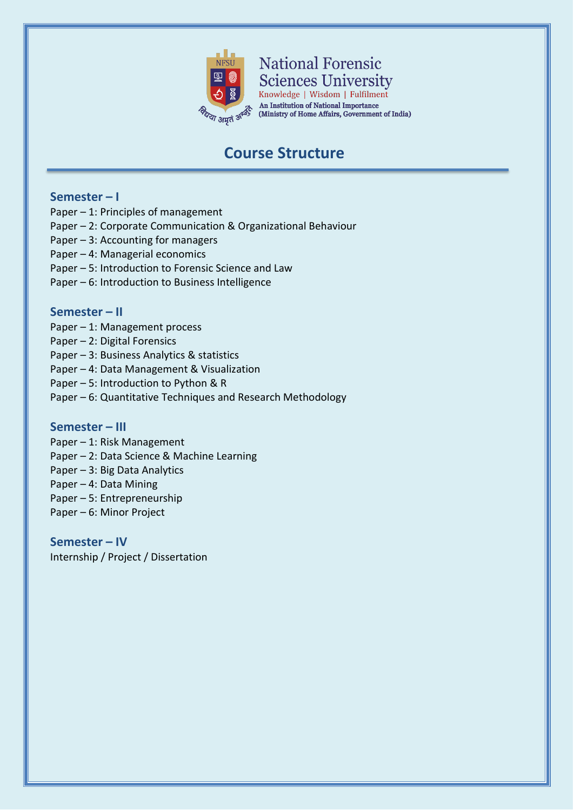

**National Forensic Sciences University** 

Knowledge | Wisdom | Fulfilment An Institution of National Importance (Ministry of Home Affairs, Government of India)

## **Course Structure**

### **Semester – I**

- Paper 1: Principles of management
- Paper 2: Corporate Communication & Organizational Behaviour
- Paper 3: Accounting for managers
- Paper 4: Managerial economics
- Paper 5: Introduction to Forensic Science and Law
- Paper 6: Introduction to Business Intelligence

### **Semester – II**

- Paper 1: Management process
- Paper 2: Digital Forensics
- Paper 3: Business Analytics & statistics
- Paper 4: Data Management & Visualization
- Paper 5: Introduction to Python & R
- Paper 6: Quantitative Techniques and Research Methodology

#### **Semester – III**

- Paper 1: Risk Management
- Paper 2: Data Science & Machine Learning
- Paper 3: Big Data Analytics
- Paper 4: Data Mining
- Paper 5: Entrepreneurship
- Paper 6: Minor Project

**Semester – IV** Internship / Project / Dissertation